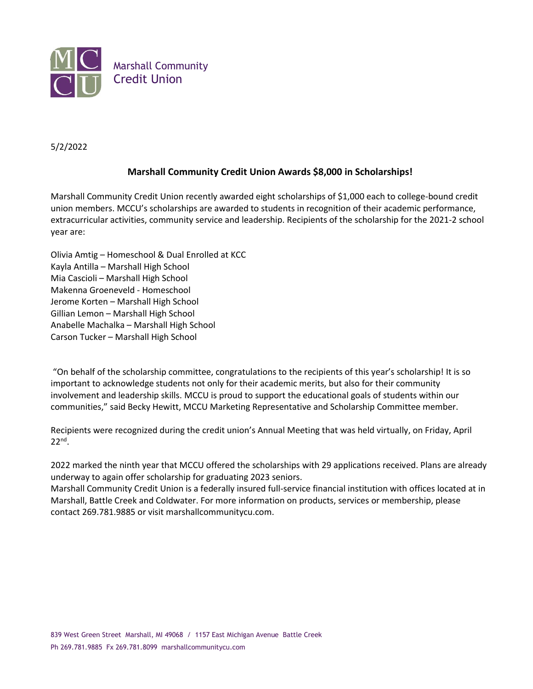

## 5/2/2022

## **Marshall Community Credit Union Awards \$8,000 in Scholarships!**

Marshall Community Credit Union recently awarded eight scholarships of \$1,000 each to college-bound credit union members. MCCU's scholarships are awarded to students in recognition of their academic performance, extracurricular activities, community service and leadership. Recipients of the scholarship for the 2021-2 school year are:

Olivia Amtig – Homeschool & Dual Enrolled at KCC Kayla Antilla – Marshall High School Mia Cascioli – Marshall High School Makenna Groeneveld - Homeschool Jerome Korten – Marshall High School Gillian Lemon – Marshall High School Anabelle Machalka – Marshall High School Carson Tucker – Marshall High School

"On behalf of the scholarship committee, congratulations to the recipients of this year's scholarship! It is so important to acknowledge students not only for their academic merits, but also for their community involvement and leadership skills. MCCU is proud to support the educational goals of students within our communities," said Becky Hewitt, MCCU Marketing Representative and Scholarship Committee member.

Recipients were recognized during the credit union's Annual Meeting that was held virtually, on Friday, April 22nd .

2022 marked the ninth year that MCCU offered the scholarships with 29 applications received. Plans are already underway to again offer scholarship for graduating 2023 seniors.

Marshall Community Credit Union is a federally insured full-service financial institution with offices located at in Marshall, Battle Creek and Coldwater. For more information on products, services or membership, please contact 269.781.9885 or visit marshallcommunitycu.com.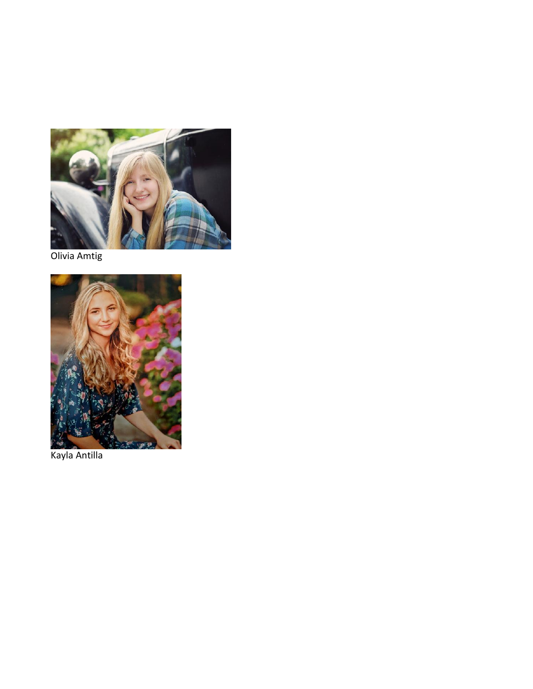

Olivia Amtig



Kayla Antilla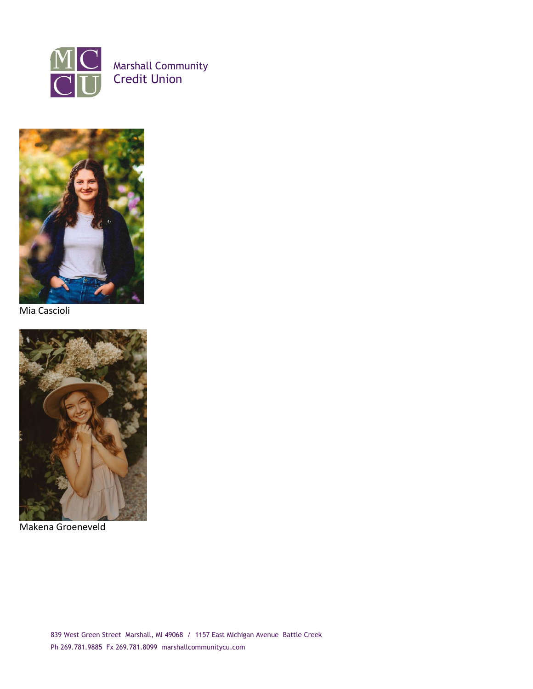



Mia Cascioli



Makena Groeneveld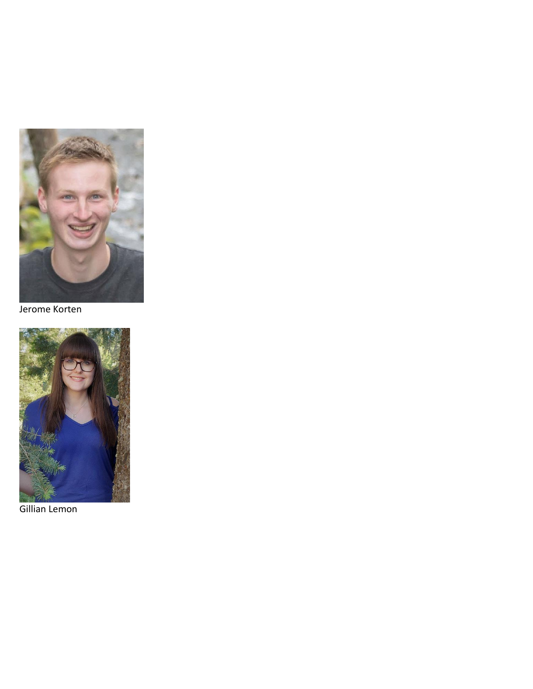

Jerome Korten



Gillian Lemon